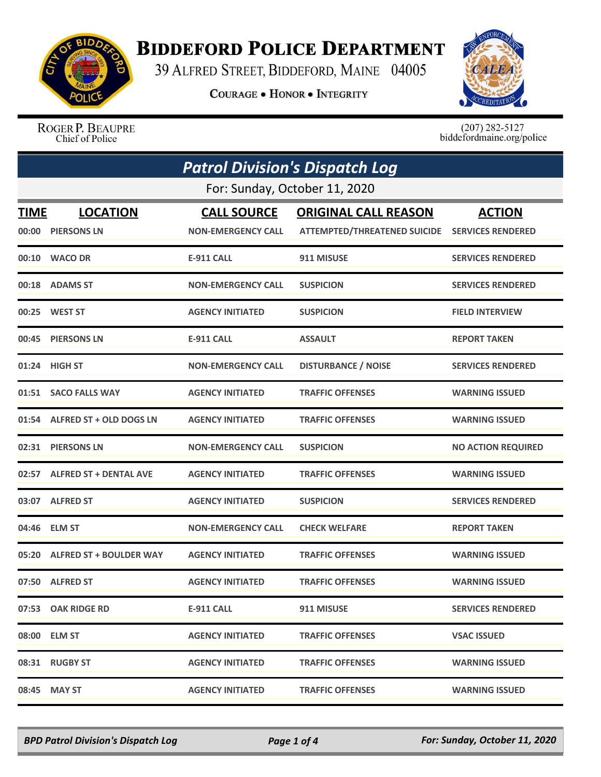

## **BIDDEFORD POLICE DEPARTMENT**

39 ALFRED STREET, BIDDEFORD, MAINE 04005

**COURAGE . HONOR . INTEGRITY** 



ROGER P. BEAUPRE Chief of Police

 $(207)$  282-5127<br>biddefordmaine.org/police

|      | <b>Patrol Division's Dispatch Log</b> |                           |                                                |                           |  |
|------|---------------------------------------|---------------------------|------------------------------------------------|---------------------------|--|
|      | For: Sunday, October 11, 2020         |                           |                                                |                           |  |
| TIME | <b>LOCATION</b>                       | <b>CALL SOURCE</b>        | <b>ORIGINAL CALL REASON</b>                    | <b>ACTION</b>             |  |
|      | 00:00 PIERSONS LN                     | <b>NON-EMERGENCY CALL</b> | ATTEMPTED/THREATENED SUICIDE SERVICES RENDERED |                           |  |
|      | 00:10 WACO DR                         | <b>E-911 CALL</b>         | 911 MISUSE                                     | <b>SERVICES RENDERED</b>  |  |
|      | 00:18 ADAMS ST                        | <b>NON-EMERGENCY CALL</b> | <b>SUSPICION</b>                               | <b>SERVICES RENDERED</b>  |  |
|      | 00:25 WEST ST                         | <b>AGENCY INITIATED</b>   | <b>SUSPICION</b>                               | <b>FIELD INTERVIEW</b>    |  |
|      | 00:45 PIERSONS LN                     | <b>E-911 CALL</b>         | <b>ASSAULT</b>                                 | <b>REPORT TAKEN</b>       |  |
|      | 01:24 HIGH ST                         | <b>NON-EMERGENCY CALL</b> | <b>DISTURBANCE / NOISE</b>                     | <b>SERVICES RENDERED</b>  |  |
|      | 01:51 SACO FALLS WAY                  | <b>AGENCY INITIATED</b>   | <b>TRAFFIC OFFENSES</b>                        | <b>WARNING ISSUED</b>     |  |
|      | 01:54 ALFRED ST + OLD DOGS LN         | <b>AGENCY INITIATED</b>   | <b>TRAFFIC OFFENSES</b>                        | <b>WARNING ISSUED</b>     |  |
|      | 02:31 PIERSONS LN                     | <b>NON-EMERGENCY CALL</b> | <b>SUSPICION</b>                               | <b>NO ACTION REQUIRED</b> |  |
|      | 02:57 ALFRED ST + DENTAL AVE          | <b>AGENCY INITIATED</b>   | <b>TRAFFIC OFFENSES</b>                        | <b>WARNING ISSUED</b>     |  |
|      | 03:07 ALFRED ST                       | <b>AGENCY INITIATED</b>   | <b>SUSPICION</b>                               | <b>SERVICES RENDERED</b>  |  |
|      | 04:46 ELM ST                          | <b>NON-EMERGENCY CALL</b> | <b>CHECK WELFARE</b>                           | <b>REPORT TAKEN</b>       |  |
|      | 05:20 ALFRED ST + BOULDER WAY         | <b>AGENCY INITIATED</b>   | <b>TRAFFIC OFFENSES</b>                        | <b>WARNING ISSUED</b>     |  |
|      | 07:50 ALFRED ST                       | <b>AGENCY INITIATED</b>   | <b>TRAFFIC OFFENSES</b>                        | <b>WARNING ISSUED</b>     |  |
|      | 07:53 OAK RIDGE RD                    | <b>E-911 CALL</b>         | 911 MISUSE                                     | <b>SERVICES RENDERED</b>  |  |
|      | 08:00 ELM ST                          | <b>AGENCY INITIATED</b>   | <b>TRAFFIC OFFENSES</b>                        | <b>VSAC ISSUED</b>        |  |
|      | 08:31 RUGBY ST                        | <b>AGENCY INITIATED</b>   | <b>TRAFFIC OFFENSES</b>                        | <b>WARNING ISSUED</b>     |  |
|      | 08:45 MAY ST                          | <b>AGENCY INITIATED</b>   | <b>TRAFFIC OFFENSES</b>                        | <b>WARNING ISSUED</b>     |  |

*BPD Patrol Division's Dispatch Log Page 1 of 4 For: Sunday, October 11, 2020*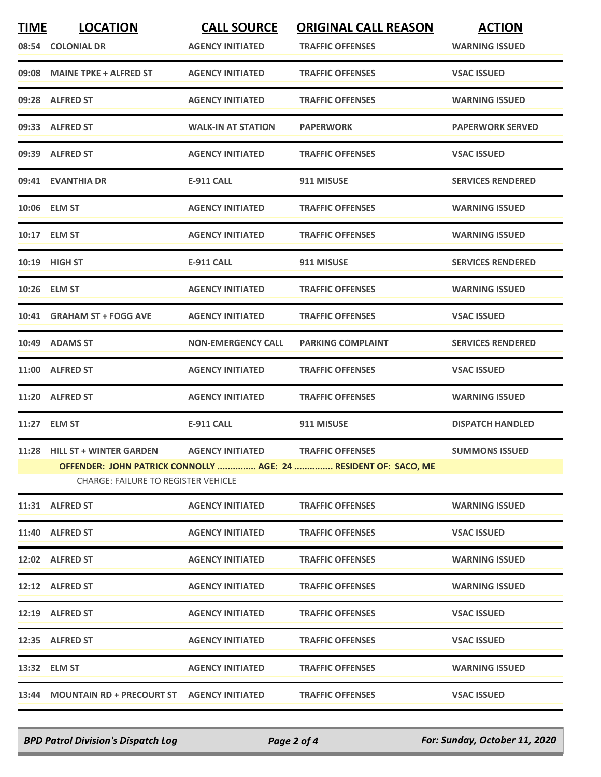| <b>TIME</b> | <b>LOCATION</b>                                                             | <b>CALL SOURCE</b>        | <b>ORIGINAL CALL REASON</b>                                                                | <b>ACTION</b>            |
|-------------|-----------------------------------------------------------------------------|---------------------------|--------------------------------------------------------------------------------------------|--------------------------|
|             | 08:54 COLONIAL DR                                                           | <b>AGENCY INITIATED</b>   | <b>TRAFFIC OFFENSES</b>                                                                    | <b>WARNING ISSUED</b>    |
|             | 09:08 MAINE TPKE + ALFRED ST                                                | <b>AGENCY INITIATED</b>   | <b>TRAFFIC OFFENSES</b>                                                                    | <b>VSAC ISSUED</b>       |
|             | 09:28 ALFRED ST                                                             | <b>AGENCY INITIATED</b>   | <b>TRAFFIC OFFENSES</b>                                                                    | <b>WARNING ISSUED</b>    |
|             | 09:33 ALFRED ST                                                             | <b>WALK-IN AT STATION</b> | <b>PAPERWORK</b>                                                                           | <b>PAPERWORK SERVED</b>  |
|             | 09:39 ALFRED ST                                                             | <b>AGENCY INITIATED</b>   | <b>TRAFFIC OFFENSES</b>                                                                    | <b>VSAC ISSUED</b>       |
|             | 09:41 EVANTHIA DR                                                           | <b>E-911 CALL</b>         | 911 MISUSE                                                                                 | <b>SERVICES RENDERED</b> |
|             | 10:06 ELM ST                                                                | <b>AGENCY INITIATED</b>   | <b>TRAFFIC OFFENSES</b>                                                                    | <b>WARNING ISSUED</b>    |
|             | 10:17 ELM ST                                                                | <b>AGENCY INITIATED</b>   | <b>TRAFFIC OFFENSES</b>                                                                    | <b>WARNING ISSUED</b>    |
|             | 10:19 HIGH ST                                                               | <b>E-911 CALL</b>         | 911 MISUSE                                                                                 | <b>SERVICES RENDERED</b> |
|             | 10:26 ELM ST                                                                | <b>AGENCY INITIATED</b>   | <b>TRAFFIC OFFENSES</b>                                                                    | <b>WARNING ISSUED</b>    |
|             | 10:41 GRAHAM ST + FOGG AVE                                                  | <b>AGENCY INITIATED</b>   | <b>TRAFFIC OFFENSES</b>                                                                    | <b>VSAC ISSUED</b>       |
|             | 10:49 ADAMS ST                                                              | <b>NON-EMERGENCY CALL</b> | <b>PARKING COMPLAINT</b>                                                                   | <b>SERVICES RENDERED</b> |
|             | 11:00 ALFRED ST                                                             | <b>AGENCY INITIATED</b>   | <b>TRAFFIC OFFENSES</b>                                                                    | <b>VSAC ISSUED</b>       |
|             | 11:20 ALFRED ST                                                             | <b>AGENCY INITIATED</b>   | <b>TRAFFIC OFFENSES</b>                                                                    | <b>WARNING ISSUED</b>    |
|             | 11:27 ELM ST                                                                | <b>E-911 CALL</b>         | 911 MISUSE                                                                                 | <b>DISPATCH HANDLED</b>  |
|             | 11:28 HILL ST + WINTER GARDEN<br><b>CHARGE: FAILURE TO REGISTER VEHICLE</b> | <b>AGENCY INITIATED</b>   | <b>TRAFFIC OFFENSES</b><br>OFFENDER: JOHN PATRICK CONNOLLY  AGE: 24  RESIDENT OF: SACO, ME | <b>SUMMONS ISSUED</b>    |
|             | 11:31 ALFRED ST                                                             | <b>AGENCY INITIATED</b>   | <b>TRAFFIC OFFENSES</b>                                                                    | <b>WARNING ISSUED</b>    |
|             | 11:40 ALFRED ST                                                             | <b>AGENCY INITIATED</b>   | <b>TRAFFIC OFFENSES</b>                                                                    | <b>VSAC ISSUED</b>       |
|             | 12:02 ALFRED ST                                                             | <b>AGENCY INITIATED</b>   | <b>TRAFFIC OFFENSES</b>                                                                    | <b>WARNING ISSUED</b>    |
|             | 12:12 ALFRED ST                                                             | <b>AGENCY INITIATED</b>   | <b>TRAFFIC OFFENSES</b>                                                                    | <b>WARNING ISSUED</b>    |
|             | 12:19 ALFRED ST                                                             | <b>AGENCY INITIATED</b>   | <b>TRAFFIC OFFENSES</b>                                                                    | <b>VSAC ISSUED</b>       |
|             | 12:35 ALFRED ST                                                             | <b>AGENCY INITIATED</b>   | <b>TRAFFIC OFFENSES</b>                                                                    | <b>VSAC ISSUED</b>       |
|             | 13:32 ELM ST                                                                | <b>AGENCY INITIATED</b>   | <b>TRAFFIC OFFENSES</b>                                                                    | <b>WARNING ISSUED</b>    |
|             | 13:44 MOUNTAIN RD + PRECOURT ST                                             | <b>AGENCY INITIATED</b>   | <b>TRAFFIC OFFENSES</b>                                                                    | <b>VSAC ISSUED</b>       |
|             |                                                                             |                           |                                                                                            |                          |

*BPD Patrol Division's Dispatch Log Page 2 of 4 For: Sunday, October 11, 2020*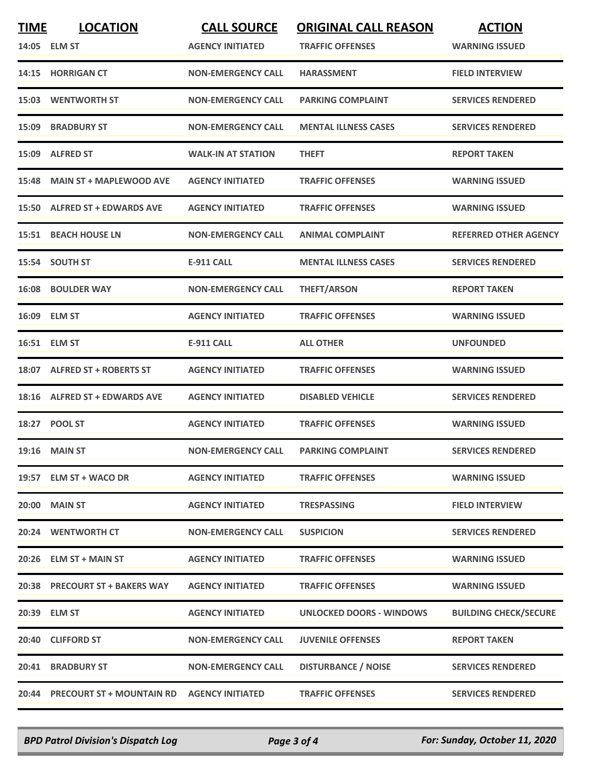| <b>TIME</b> | <b>LOCATION</b><br>14:05 ELM ST | <b>CALL SOURCE</b><br><b>AGENCY INITIATED</b> | <b>ORIGINAL CALL REASON</b><br><b>TRAFFIC OFFENSES</b> | <b>ACTION</b><br><b>WARNING ISSUED</b> |
|-------------|---------------------------------|-----------------------------------------------|--------------------------------------------------------|----------------------------------------|
|             | 14:15 HORRIGAN CT               | <b>NON-EMERGENCY CALL</b>                     | <b>HARASSMENT</b>                                      | <b>FIELD INTERVIEW</b>                 |
|             | <b>15:03 WENTWORTH ST</b>       | <b>NON-EMERGENCY CALL</b>                     | <b>PARKING COMPLAINT</b>                               | <b>SERVICES RENDERED</b>               |
|             | 15:09 BRADBURY ST               | <b>NON-EMERGENCY CALL</b>                     | <b>MENTAL ILLNESS CASES</b>                            | <b>SERVICES RENDERED</b>               |
|             | 15:09 ALFRED ST                 | <b>WALK-IN AT STATION</b>                     | <b>THEFT</b>                                           | <b>REPORT TAKEN</b>                    |
|             | 15:48 MAIN ST + MAPLEWOOD AVE   | <b>AGENCY INITIATED</b>                       | <b>TRAFFIC OFFENSES</b>                                | <b>WARNING ISSUED</b>                  |
|             | 15:50 ALFRED ST + EDWARDS AVE   | <b>AGENCY INITIATED</b>                       | <b>TRAFFIC OFFENSES</b>                                | <b>WARNING ISSUED</b>                  |
|             | <b>15:51 BEACH HOUSE LN</b>     | <b>NON-EMERGENCY CALL</b>                     | <b>ANIMAL COMPLAINT</b>                                | <b>REFERRED OTHER AGENCY</b>           |
|             | 15:54 SOUTH ST                  | <b>E-911 CALL</b>                             | <b>MENTAL ILLNESS CASES</b>                            | <b>SERVICES RENDERED</b>               |
|             | <b>16:08 BOULDER WAY</b>        | <b>NON-EMERGENCY CALL</b>                     | <b>THEFT/ARSON</b>                                     | <b>REPORT TAKEN</b>                    |
|             | 16:09 ELM ST                    | <b>AGENCY INITIATED</b>                       | <b>TRAFFIC OFFENSES</b>                                | <b>WARNING ISSUED</b>                  |
|             | 16:51 ELM ST                    | <b>E-911 CALL</b>                             | <b>ALL OTHER</b>                                       | <b>UNFOUNDED</b>                       |
|             | 18:07 ALFRED ST + ROBERTS ST    | <b>AGENCY INITIATED</b>                       | <b>TRAFFIC OFFENSES</b>                                | <b>WARNING ISSUED</b>                  |
|             | 18:16 ALFRED ST + EDWARDS AVE   | <b>AGENCY INITIATED</b>                       | <b>DISABLED VEHICLE</b>                                | <b>SERVICES RENDERED</b>               |
|             | 18:27 POOL ST                   | <b>AGENCY INITIATED</b>                       | <b>TRAFFIC OFFENSES</b>                                | <b>WARNING ISSUED</b>                  |
|             | <b>19:16 MAIN ST</b>            | <b>NON-EMERGENCY CALL</b>                     | <b>PARKING COMPLAINT</b>                               | <b>SERVICES RENDERED</b>               |
|             | 19:57 ELM ST + WACO DR          | <b>AGENCY INITIATED</b>                       | <b>TRAFFIC OFFENSES</b>                                | <b>WARNING ISSUED</b>                  |
|             | 20:00 MAIN ST                   | <b>AGENCY INITIATED</b>                       | <b>TRESPASSING</b>                                     | <b>FIELD INTERVIEW</b>                 |
| 20:24       | <b>WENTWORTH CT</b>             | <b>NON-EMERGENCY CALL</b>                     | <b>SUSPICION</b>                                       | <b>SERVICES RENDERED</b>               |
|             | 20:26 ELM ST + MAIN ST          | <b>AGENCY INITIATED</b>                       | <b>TRAFFIC OFFENSES</b>                                | <b>WARNING ISSUED</b>                  |
|             | 20:38 PRECOURT ST + BAKERS WAY  | <b>AGENCY INITIATED</b>                       | <b>TRAFFIC OFFENSES</b>                                | <b>WARNING ISSUED</b>                  |
| 20:39       | <b>ELM ST</b>                   | <b>AGENCY INITIATED</b>                       | UNLOCKED DOORS - WINDOWS                               | <b>BUILDING CHECK/SECURE</b>           |
|             | 20:40 CLIFFORD ST               | <b>NON-EMERGENCY CALL</b>                     | <b>JUVENILE OFFENSES</b>                               | <b>REPORT TAKEN</b>                    |
| 20:41       | <b>BRADBURY ST</b>              | <b>NON-EMERGENCY CALL</b>                     | <b>DISTURBANCE / NOISE</b>                             | <b>SERVICES RENDERED</b>               |
|             | 20:44 PRECOURT ST + MOUNTAIN RD | <b>AGENCY INITIATED</b>                       | <b>TRAFFIC OFFENSES</b>                                | <b>SERVICES RENDERED</b>               |

*BPD Patrol Division's Dispatch Log Page 3 of 4 For: Sunday, October 11, 2020*